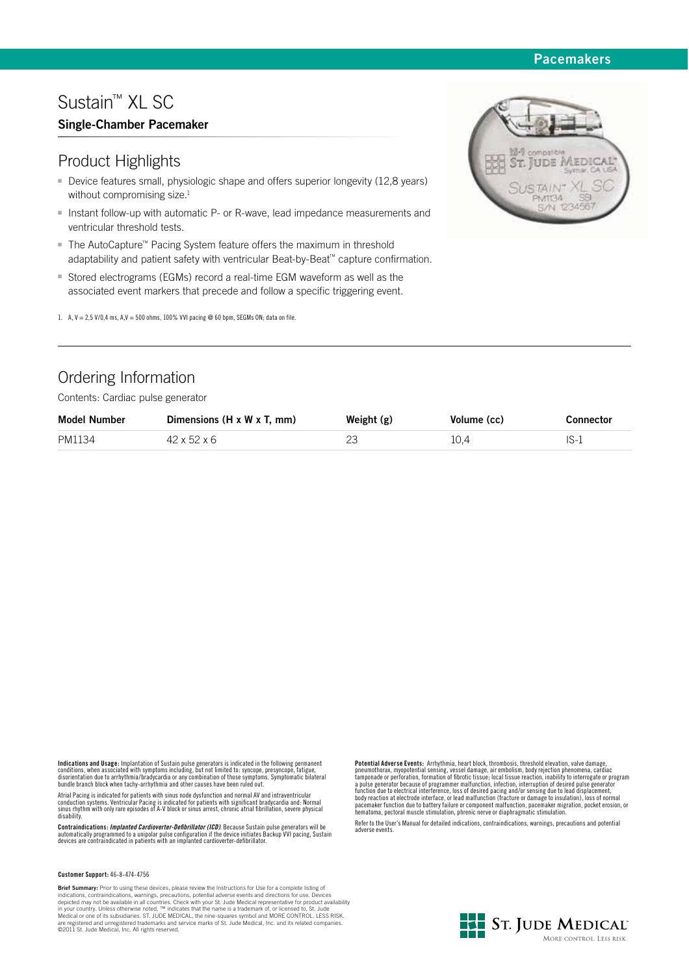## **Pacemakers**

# Sustain™ XL SC

## **Single-Chamber Pacemaker**

## Product Highlights

- Device features small, physiologic shape and offers superior longevity (12,8 years) without compromising size.<sup>1</sup>
- Instant follow-up with automatic P- or R-wave, lead impedance measurements and ventricular threshold tests.
- The AutoCapture™ Pacing System feature offers the maximum in threshold adaptability and patient safety with ventricular Beat-by-Beat™ capture confirmation.
- **Stored electrograms (EGMs) record a real-time EGM waveform as well as the** associated event markers that precede and follow a specific triggering event.
- 1. A, V = 2,5 V/0,4 ms, A,V = 500 ohms, 100% VVI pacing @ 60 bpm, SEGMs ON; data on file.

# Ordering Information

Contents: Cardiac pulse generator

| <b>Model Number</b> | Dimensions $(H \times W \times T, \text{mm})$ | Weight (g) | Volume (cc) | Connector |
|---------------------|-----------------------------------------------|------------|-------------|-----------|
| PM1134              | $42 \times 52 \times 6$                       |            | 10.4        | $IS-1$    |

**Indications and Usage:** Implantation of Sustain pulse generators is indicated in the following permanent<br>conditions, when associated with symptoms including, but not limited to: syncope, presyncope, fatigue,<br>disorientatio

Atrial Pacing is indicated for patients with sinus node dysfunction and normal AV and intraventricular<br>conduction systems. Ventricular Pacing is indicated for patients with significant bradycardia and: Normal<br>sinus rhythm disability.

**Contraindications:** *Implanted Cardioverter-Defibrillator (ICD).* **Because Sustain pulse generators will be<br>automatically programmed to a unipolar pulse configuration if the device initiates Backup VVI pacing, Sustain<br>devic** 

#### **Customer Support:** 46-8-474-4756

**Brief Summary:** Prior to using these devices, please review the Instructions for Use for a complete listing of<br>indications, contraindcations, warnings, precautions, potential adverse events and directions for use. Devices

**Potential Adverse Events:** Arrhythmia, heart block, thrombosis, threshold elevation, valve damage, prememothorax, myopotential sensing, vessel damage, air embolism, body rejection phenomena, cardiac tamponade or perforati

Refer to the User's Manual for detailed indications, contraindications, warnings, precautions and potential adverse events.